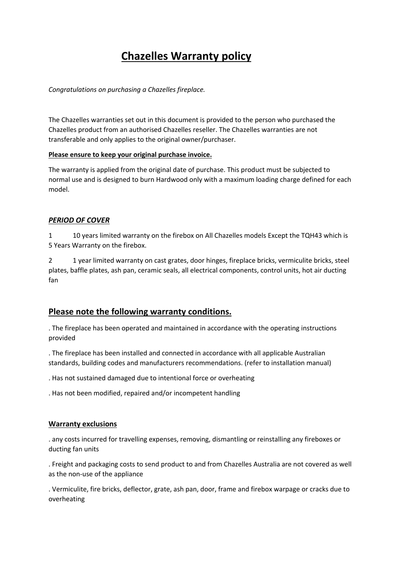# **Chazelles Warranty policy**

## *Congratulations on purchasing a Chazelles fireplace.*

The Chazelles warranties set out in this document is provided to the person who purchased the Chazelles product from an authorised Chazelles reseller. The Chazelles warranties are not transferable and only applies to the original owner/purchaser.

### **Please ensure to keep your original purchase invoice.**

The warranty is applied from the original date of purchase. This product must be subjected to normal use and is designed to burn Hardwood only with a maximum loading charge defined for each model.

## *PERIOD OF COVER*

1 10 years limited warranty on the firebox on All Chazelles models Except the TQH43 which is 5 Years Warranty on the firebox.

2 1 year limited warranty on cast grates, door hinges, fireplace bricks, vermiculite bricks, steel plates, baffle plates, ash pan, ceramic seals, all electrical components, control units, hot air ducting fan

# **Please note the following warranty conditions.**

. The fireplace has been operated and maintained in accordance with the operating instructions provided

. The fireplace has been installed and connected in accordance with all applicable Australian standards, building codes and manufacturers recommendations. (refer to installation manual)

. Has not sustained damaged due to intentional force or overheating

. Has not been modified, repaired and/or incompetent handling

### **Warranty exclusions**

. any costs incurred for travelling expenses, removing, dismantling or reinstalling any fireboxes or ducting fan units

. Freight and packaging costs to send product to and from Chazelles Australia are not covered as well as the non-use of the appliance

. Vermiculite, fire bricks, deflector, grate, ash pan, door, frame and firebox warpage or cracks due to overheating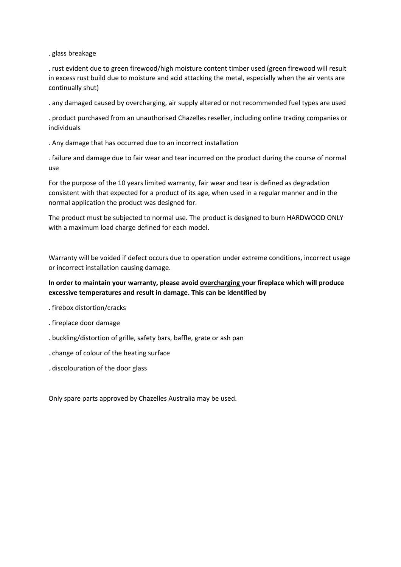. glass breakage

. rust evident due to green firewood/high moisture content timber used (green firewood will result in excess rust build due to moisture and acid attacking the metal, especially when the air vents are continually shut)

. any damaged caused by overcharging, air supply altered or not recommended fuel types are used

. product purchased from an unauthorised Chazelles reseller, including online trading companies or individuals

. Any damage that has occurred due to an incorrect installation

. failure and damage due to fair wear and tear incurred on the product during the course of normal use

For the purpose of the 10 years limited warranty, fair wear and tear is defined as degradation consistent with that expected for a product of its age, when used in a regular manner and in the normal application the product was designed for.

The product must be subjected to normal use. The product is designed to burn HARDWOOD ONLY with a maximum load charge defined for each model.

Warranty will be voided if defect occurs due to operation under extreme conditions, incorrect usage or incorrect installation causing damage.

## **In order to maintain your warranty, please avoid overcharging your fireplace which will produce excessive temperatures and result in damage. This can be identified by**

- . firebox distortion/cracks
- . fireplace door damage
- . buckling/distortion of grille, safety bars, baffle, grate or ash pan
- . change of colour of the heating surface
- . discolouration of the door glass

Only spare parts approved by Chazelles Australia may be used.